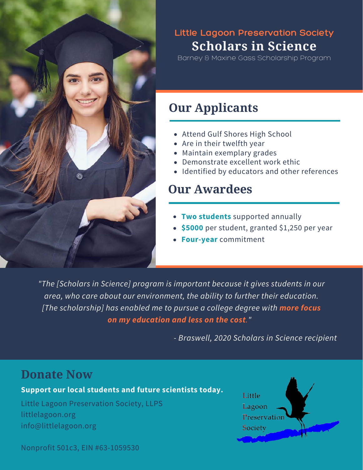

## **Scholars in Science Little Lagoon Preservation Society**

Barney & Maxine Gass Scholarship Program

## **Our Applicants**

- Attend Gulf Shores High School
- Are in their twelfth year
- Maintain exemplary grades
- Demonstrate excellent work ethic
- Identified by educators and other references

## **Our Awardees**

- **Two students** supported annually
- **\$5000** per student, granted \$1,250 per year
- **Four-year** commitment

*"The [Scholars in Science] program is important because it gives students in our area, who care about our environment, the ability to further their education. [The scholarship] has enabled me to pursue a college degree with more focus on my education and less on the cost."* 

*- Braswell, 2020 Scholars in Science recipient*

## **Donate Now**

#### **Support our local students and future scientists today.**

Little Lagoon Preservation Society, LLPS littlelagoon.org info@littlelagoon.org



Nonprofit 501c3, EIN #63-1059530